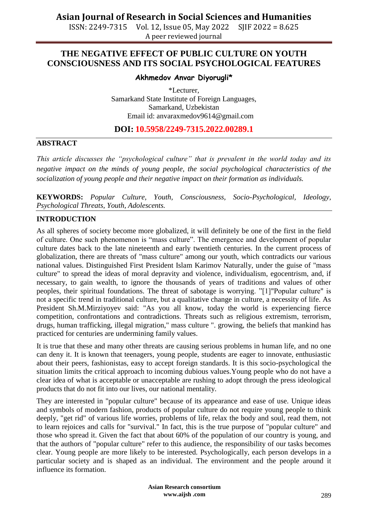ISSN: 2249-7315 Vol. 12, Issue 05, May 2022 SJIF 2022 = 8.625 A peer reviewed journal

### **THE NEGATIVE EFFECT OF PUBLIC CULTURE ON YOUTH CONSCIOUSNESS AND ITS SOCIAL PSYCHOLOGICAL FEATURES**

#### **Akhmedov Anvar Diyorugli\***

\*Lecturer, Samarkand State Institute of Foreign Languages, Samarkand, Uzbekistan Email id: anvaraxmedov9614@gmail.com

### **DOI: 10.5958/2249-7315.2022.00289.1**

#### **ABSTRACT**

*This article discusses the "psychological culture" that is prevalent in the world today and its negative impact on the minds of young people, the social psychological characteristics of the socialization of young people and their negative impact on their formation as individuals.*

**KEYWORDS:** *Popular Culture, Youth, Consciousness, Socio-Psychological, Ideology, Psychological Threats, Youth, Adolescents.*

#### **INTRODUCTION**

As all spheres of society become more globalized, it will definitely be one of the first in the field of culture. One such phenomenon is "mass culture". The emergence and development of popular culture dates back to the late nineteenth and early twentieth centuries. In the current process of globalization, there are threats of "mass culture" among our youth, which contradicts our various national values. Distinguished First President Islam Karimov Naturally, under the guise of "mass culture" to spread the ideas of moral depravity and violence, individualism, egocentrism, and, if necessary, to gain wealth, to ignore the thousands of years of traditions and values of other peoples, their spiritual foundations. The threat of sabotage is worrying. "[1]"Popular culture" is not a specific trend in traditional culture, but a qualitative change in culture, a necessity of life. As President Sh.M.Mirziyoyev said: "As you all know, today the world is experiencing fierce competition, confrontations and contradictions. Threats such as religious extremism, terrorism, drugs, human trafficking, illegal migration," mass culture ". growing, the beliefs that mankind has practiced for centuries are undermining family values.

It is true that these and many other threats are causing serious problems in human life, and no one can deny it. It is known that teenagers, young people, students are eager to innovate, enthusiastic about their peers, fashionistas, easy to accept foreign standards. It is this socio-psychological the situation limits the critical approach to incoming dubious values.Young people who do not have a clear idea of what is acceptable or unacceptable are rushing to adopt through the press ideological products that do not fit into our lives, our national mentality.

They are interested in "popular culture" because of its appearance and ease of use. Unique ideas and symbols of modern fashion, products of popular culture do not require young people to think deeply, "get rid" of various life worries, problems of life, relax the body and soul, read them, not to learn rejoices and calls for "survival." In fact, this is the true purpose of "popular culture" and those who spread it. Given the fact that about 60% of the population of our country is young, and that the authors of "popular culture" refer to this audience, the responsibility of our tasks becomes clear. Young people are more likely to be interested. Psychologically, each person develops in a particular society and is shaped as an individual. The environment and the people around it influence its formation.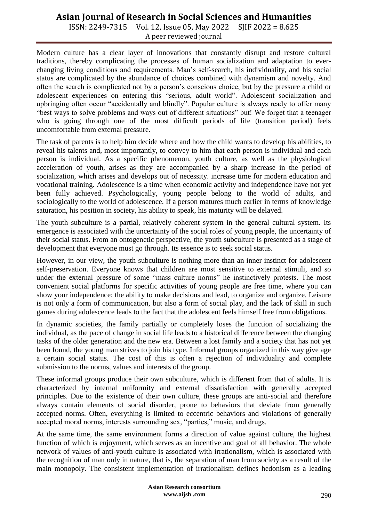# **Asian Journal of Research in Social Sciences and Humanities**

ISSN: 2249-7315 Vol. 12, Issue 05, May 2022 SJIF 2022 = 8.625 A peer reviewed journal

Modern culture has a clear layer of innovations that constantly disrupt and restore cultural traditions, thereby complicating the processes of human socialization and adaptation to everchanging living conditions and requirements. Man"s self-search, his individuality, and his social status are complicated by the abundance of choices combined with dynamism and novelty. And often the search is complicated not by a person"s conscious choice, but by the pressure a child or adolescent experiences on entering this "serious, adult world". Adolescent socialization and upbringing often occur "accidentally and blindly". Popular culture is always ready to offer many "best ways to solve problems and ways out of different situations" but! We forget that a teenager who is going through one of the most difficult periods of life (transition period) feels uncomfortable from external pressure.

The task of parents is to help him decide where and how the child wants to develop his abilities, to reveal his talents and, most importantly, to convey to him that each person is individual and each person is individual. As a specific phenomenon, youth culture, as well as the physiological acceleration of youth, arises as they are accompanied by a sharp increase in the period of socialization, which arises and develops out of necessity. increase time for modern education and vocational training. Adolescence is a time when economic activity and independence have not yet been fully achieved. Psychologically, young people belong to the world of adults, and sociologically to the world of adolescence. If a person matures much earlier in terms of knowledge saturation, his position in society, his ability to speak, his maturity will be delayed.

The youth subculture is a partial, relatively coherent system in the general cultural system. Its emergence is associated with the uncertainty of the social roles of young people, the uncertainty of their social status. From an ontogenetic perspective, the youth subculture is presented as a stage of development that everyone must go through. Its essence is to seek social status.

However, in our view, the youth subculture is nothing more than an inner instinct for adolescent self-preservation. Everyone knows that children are most sensitive to external stimuli, and so under the external pressure of some "mass culture norms" he instinctively protests. The most convenient social platforms for specific activities of young people are free time, where you can show your independence: the ability to make decisions and lead, to organize and organize. Leisure is not only a form of communication, but also a form of social play, and the lack of skill in such games during adolescence leads to the fact that the adolescent feels himself free from obligations.

In dynamic societies, the family partially or completely loses the function of socializing the individual, as the pace of change in social life leads to a historical difference between the changing tasks of the older generation and the new era. Between a lost family and a society that has not yet been found, the young man strives to join his type. Informal groups organized in this way give age a certain social status. The cost of this is often a rejection of individuality and complete submission to the norms, values and interests of the group.

These informal groups produce their own subculture, which is different from that of adults. It is characterized by internal uniformity and external dissatisfaction with generally accepted principles. Due to the existence of their own culture, these groups are anti-social and therefore always contain elements of social disorder, prone to behaviors that deviate from generally accepted norms. Often, everything is limited to eccentric behaviors and violations of generally accepted moral norms, interests surrounding sex, "parties," music, and drugs.

At the same time, the same environment forms a direction of value against culture, the highest function of which is enjoyment, which serves as an incentive and goal of all behavior. The whole network of values of anti-youth culture is associated with irrationalism, which is associated with the recognition of man only in nature, that is, the separation of man from society as a result of the main monopoly. The consistent implementation of irrationalism defines hedonism as a leading